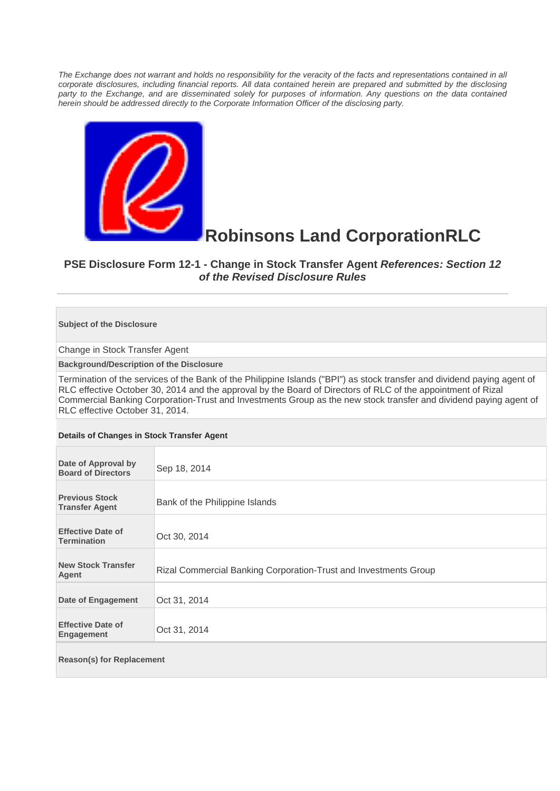*The Exchange does not warrant and holds no responsibility for the veracity of the facts and representations contained in all corporate disclosures, including financial reports. All data contained herein are prepared and submitted by the disclosing*  party to the Exchange, and are disseminated solely for purposes of information. Any questions on the data contained *herein should be addressed directly to the Corporate Information Officer of the disclosing party.* 



## **Robinsons Land CorporationRLC**

## **PSE Disclosure Form 12-1 - Change in Stock Transfer Agent** *References: Section 12 of the Revised Disclosure Rules*

## **Subject of the Disclosure**

Change in Stock Transfer Agent

**Background/Description of the Disclosure** 

Termination of the services of the Bank of the Philippine Islands ("BPI") as stock transfer and dividend paying agent of RLC effective October 30, 2014 and the approval by the Board of Directors of RLC of the appointment of Rizal Commercial Banking Corporation-Trust and Investments Group as the new stock transfer and dividend paying agent of RLC effective October 31, 2014.

## **Details of Changes in Stock Transfer Agent**

| Date of Approval by<br><b>Board of Directors</b> | Sep 18, 2014                                                     |  |
|--------------------------------------------------|------------------------------------------------------------------|--|
| <b>Previous Stock</b><br><b>Transfer Agent</b>   | Bank of the Philippine Islands                                   |  |
| <b>Effective Date of</b><br><b>Termination</b>   | Oct 30, 2014                                                     |  |
| <b>New Stock Transfer</b><br><b>Agent</b>        | Rizal Commercial Banking Corporation-Trust and Investments Group |  |
| Date of Engagement                               | Oct 31, 2014                                                     |  |
| <b>Effective Date of</b><br>Engagement           | Oct 31, 2014                                                     |  |
| <b>Reason(s) for Replacement</b>                 |                                                                  |  |